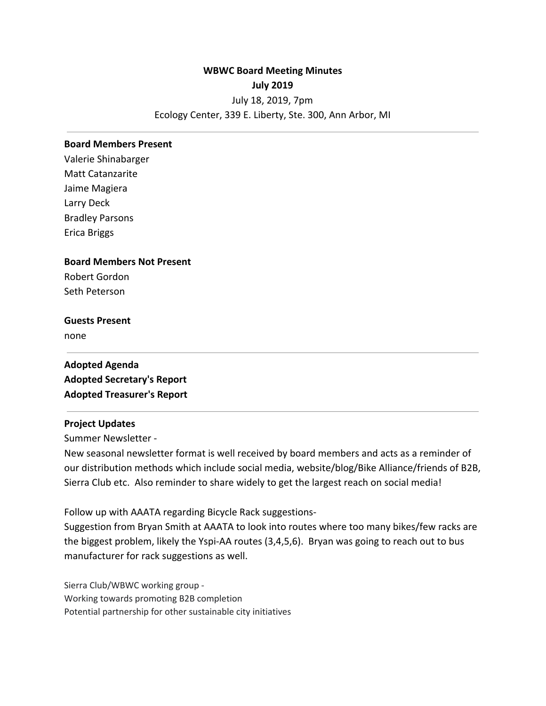# **WBWC Board Meeting Minutes July 2019** July 18, 2019, 7pm Ecology Center, 339 E. Liberty, Ste. 300, Ann Arbor, MI

#### **Board Members Present**

Valerie Shinabarger Matt Catanzarite Jaime Magiera Larry Deck Bradley Parsons Erica Briggs

### **Board Members Not Present**

Robert Gordon Seth Peterson

### **Guests Present**

none

**Adopted Agenda Adopted Secretary's Report Adopted Treasurer's Report**

### **Project Updates**

Summer Newsletter -

New seasonal newsletter format is well received by board members and acts as a reminder of our distribution methods which include social media, website/blog/Bike Alliance/friends of B2B, Sierra Club etc. Also reminder to share widely to get the largest reach on social media!

Follow up with AAATA regarding Bicycle Rack suggestions-

Suggestion from Bryan Smith at AAATA to look into routes where too many bikes/few racks are the biggest problem, likely the Yspi-AA routes (3,4,5,6). Bryan was going to reach out to bus manufacturer for rack suggestions as well.

Sierra Club/WBWC working group - Working towards promoting B2B completion Potential partnership for other sustainable city initiatives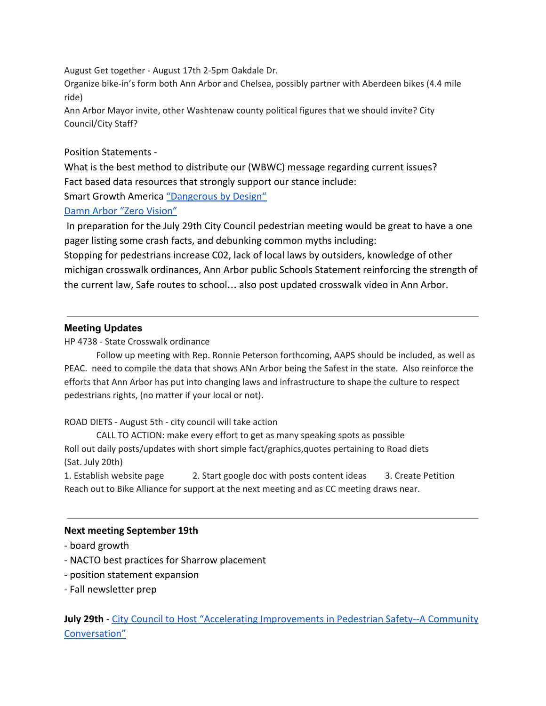August Get together - August 17th 2-5pm Oakdale Dr.

Organize bike-in's form both Ann Arbor and Chelsea, possibly partner with Aberdeen bikes (4.4 mile ride)

Ann Arbor Mayor invite, other Washtenaw county political figures that we should invite? City Council/City Staff?

# Position Statements -

What is the best method to distribute our (WBWC) message regarding current issues? Fact based data resources that strongly support our stance include: Smart Growth America ["Dangerous by Design"](https://smartgrowthamerica.org/dangerous-by-design/)

## [Damn Arbor "Zero Vision"](https://www.damnarbor.com/2019/07/zero-vision-ann-arbors-promotion-of.html)

 In preparation for the July 29th City Council pedestrian meeting would be great to have a one pager listing some crash facts, and debunking common myths including:

Stopping for pedestrians increase C02, lack of local laws by outsiders, knowledge of other michigan crosswalk ordinances, Ann Arbor public Schools Statement reinforcing the strength of the current law, Safe routes to school… also post updated crosswalk video in Ann Arbor.

# **Meeting Updates**

HP 4738 - State Crosswalk ordinance

Follow up meeting with Rep. Ronnie Peterson forthcoming, AAPS should be included, as well as PEAC. need to compile the data that shows ANn Arbor being the Safest in the state. Also reinforce the efforts that Ann Arbor has put into changing laws and infrastructure to shape the culture to respect pedestrians rights, (no matter if your local or not).

## ROAD DIETS - August 5th - city council will take action

CALL TO ACTION: make every effort to get as many speaking spots as possible Roll out daily posts/updates with short simple fact/graphics,quotes pertaining to Road diets (Sat. July 20th)

1. Establish website page 2. Start google doc with posts content ideas 3. Create Petition Reach out to Bike Alliance for support at the next meeting and as CC meeting draws near.

## **Next meeting September 19th**

- board growth
- NACTO best practices for Sharrow placement
- position statement expansion
- Fall newsletter prep

**July 29th** - [City Council to Host "Accelerating Improvements in Pedestrian Safety--A Community](https://www.a2gov.org/news/pages/article.aspx?i=605) [Conversation"](https://www.a2gov.org/news/pages/article.aspx?i=605)